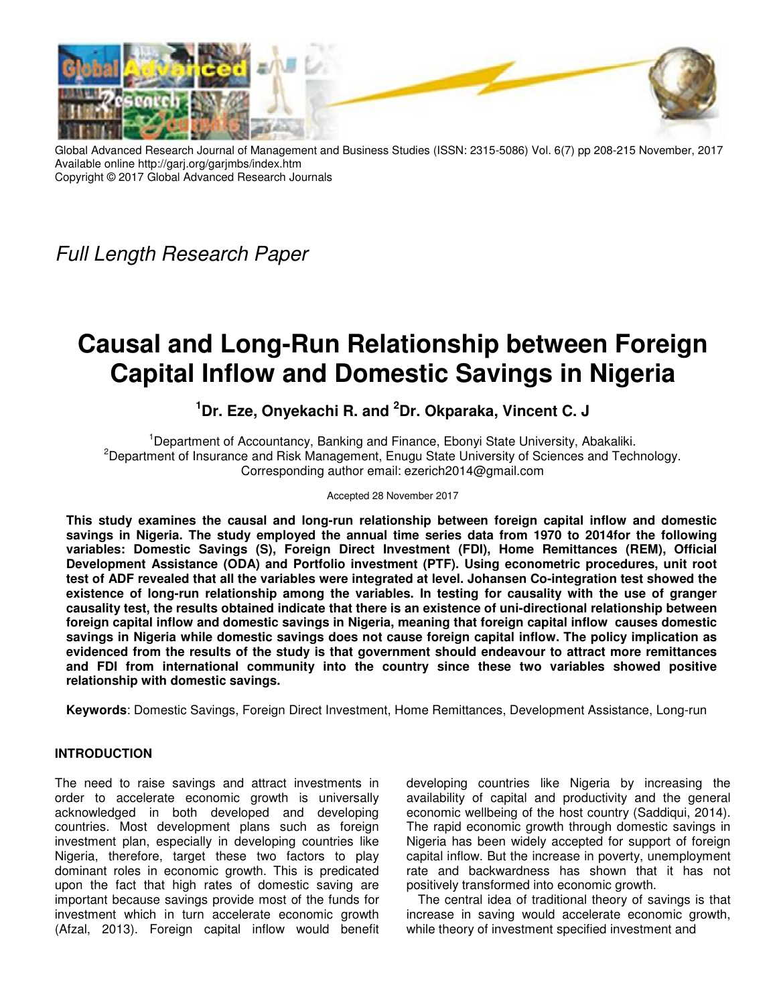

Global Advanced Research Journal of Management and Business Studies (ISSN: 2315-5086) Vol. 6(7) pp 208-215 November, 2017 Available online http://garj.org/garjmbs/index.htm Copyright © 2017 Global Advanced Research Journals

Full Length Research Paper

# **Causal and Long-Run Relationship between Foreign Capital Inflow and Domestic Savings in Nigeria**

## **<sup>1</sup>Dr. Eze, Onyekachi R. and <sup>2</sup>Dr. Okparaka, Vincent C. J**

<sup>1</sup>Department of Accountancy, Banking and Finance, Ebonyi State University, Abakaliki. <sup>2</sup>Department of Insurance and Risk Management, Enugu State University of Sciences and Technology. Corresponding author email: ezerich2014@gmail.com

## Accepted 28 November 2017

**This study examines the causal and long-run relationship between foreign capital inflow and domestic savings in Nigeria. The study employed the annual time series data from 1970 to 2014for the following variables: Domestic Savings (S), Foreign Direct Investment (FDI), Home Remittances (REM), Official Development Assistance (ODA) and Portfolio investment (PTF). Using econometric procedures, unit root test of ADF revealed that all the variables were integrated at level. Johansen Co-integration test showed the existence of long-run relationship among the variables. In testing for causality with the use of granger causality test, the results obtained indicate that there is an existence of uni-directional relationship between foreign capital inflow and domestic savings in Nigeria, meaning that foreign capital inflow causes domestic savings in Nigeria while domestic savings does not cause foreign capital inflow. The policy implication as evidenced from the results of the study is that government should endeavour to attract more remittances and FDI from international community into the country since these two variables showed positive relationship with domestic savings.** 

**Keywords**: Domestic Savings, Foreign Direct Investment, Home Remittances, Development Assistance, Long-run

## **INTRODUCTION**

The need to raise savings and attract investments in order to accelerate economic growth is universally acknowledged in both developed and developing countries. Most development plans such as foreign investment plan, especially in developing countries like Nigeria, therefore, target these two factors to play dominant roles in economic growth. This is predicated upon the fact that high rates of domestic saving are important because savings provide most of the funds for investment which in turn accelerate economic growth (Afzal, 2013). Foreign capital inflow would benefit

developing countries like Nigeria by increasing the availability of capital and productivity and the general economic wellbeing of the host country (Saddiqui, 2014). The rapid economic growth through domestic savings in Nigeria has been widely accepted for support of foreign capital inflow. But the increase in poverty, unemployment rate and backwardness has shown that it has not positively transformed into economic growth.

The central idea of traditional theory of savings is that increase in saving would accelerate economic growth, while theory of investment specified investment and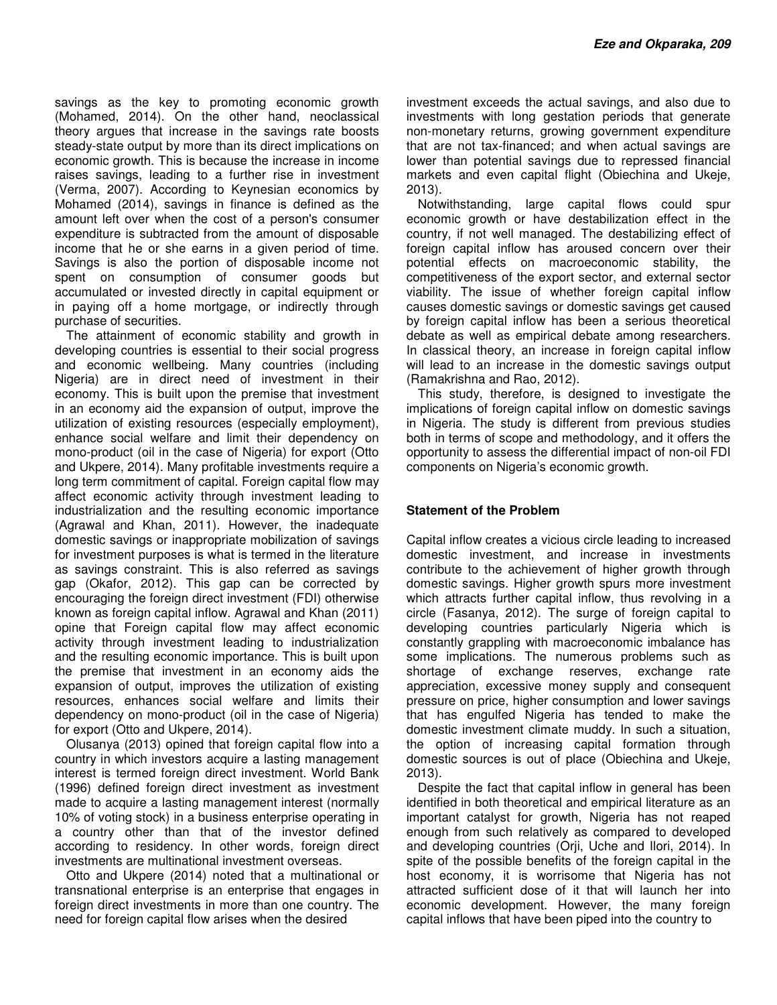savings as the key to promoting economic growth (Mohamed, 2014). On the other hand, neoclassical theory argues that increase in the savings rate boosts steady-state output by more than its direct implications on economic growth. This is because the increase in income raises savings, leading to a further rise in investment (Verma, 2007). According to Keynesian economics by Mohamed (2014), savings in finance is defined as the amount left over when the cost of a person's consumer expenditure is subtracted from the amount of disposable income that he or she earns in a given period of time. Savings is also the portion of disposable income not spent on consumption of consumer goods but accumulated or invested directly in capital equipment or in paying off a home mortgage, or indirectly through purchase of securities.

The attainment of economic stability and growth in developing countries is essential to their social progress and economic wellbeing. Many countries (including Nigeria) are in direct need of investment in their economy. This is built upon the premise that investment in an economy aid the expansion of output, improve the utilization of existing resources (especially employment), enhance social welfare and limit their dependency on mono-product (oil in the case of Nigeria) for export (Otto and Ukpere, 2014). Many profitable investments require a long term commitment of capital. Foreign capital flow may affect economic activity through investment leading to industrialization and the resulting economic importance (Agrawal and Khan, 2011). However, the inadequate domestic savings or inappropriate mobilization of savings for investment purposes is what is termed in the literature as savings constraint. This is also referred as savings gap (Okafor, 2012). This gap can be corrected by encouraging the foreign direct investment (FDI) otherwise known as foreign capital inflow. Agrawal and Khan (2011) opine that Foreign capital flow may affect economic activity through investment leading to industrialization and the resulting economic importance. This is built upon the premise that investment in an economy aids the expansion of output, improves the utilization of existing resources, enhances social welfare and limits their dependency on mono-product (oil in the case of Nigeria) for export (Otto and Ukpere, 2014).

Olusanya (2013) opined that foreign capital flow into a country in which investors acquire a lasting management interest is termed foreign direct investment. World Bank (1996) defined foreign direct investment as investment made to acquire a lasting management interest (normally 10% of voting stock) in a business enterprise operating in a country other than that of the investor defined according to residency. In other words, foreign direct investments are multinational investment overseas.

Otto and Ukpere (2014) noted that a multinational or transnational enterprise is an enterprise that engages in foreign direct investments in more than one country. The need for foreign capital flow arises when the desired

investment exceeds the actual savings, and also due to investments with long gestation periods that generate non-monetary returns, growing government expenditure that are not tax-financed; and when actual savings are lower than potential savings due to repressed financial markets and even capital flight (Obiechina and Ukeje, 2013).

Notwithstanding, large capital flows could spur economic growth or have destabilization effect in the country, if not well managed. The destabilizing effect of foreign capital inflow has aroused concern over their potential effects on macroeconomic stability, the competitiveness of the export sector, and external sector viability. The issue of whether foreign capital inflow causes domestic savings or domestic savings get caused by foreign capital inflow has been a serious theoretical debate as well as empirical debate among researchers. In classical theory, an increase in foreign capital inflow will lead to an increase in the domestic savings output (Ramakrishna and Rao, 2012).

This study, therefore, is designed to investigate the implications of foreign capital inflow on domestic savings in Nigeria. The study is different from previous studies both in terms of scope and methodology, and it offers the opportunity to assess the differential impact of non-oil FDI components on Nigeria's economic growth.

## **Statement of the Problem**

Capital inflow creates a vicious circle leading to increased domestic investment, and increase in investments contribute to the achievement of higher growth through domestic savings. Higher growth spurs more investment which attracts further capital inflow, thus revolving in a circle (Fasanya, 2012). The surge of foreign capital to developing countries particularly Nigeria which is constantly grappling with macroeconomic imbalance has some implications. The numerous problems such as shortage of exchange reserves, exchange rate appreciation, excessive money supply and consequent pressure on price, higher consumption and lower savings that has engulfed Nigeria has tended to make the domestic investment climate muddy. In such a situation, the option of increasing capital formation through domestic sources is out of place (Obiechina and Ukeje, 2013).

Despite the fact that capital inflow in general has been identified in both theoretical and empirical literature as an important catalyst for growth, Nigeria has not reaped enough from such relatively as compared to developed and developing countries (Orji, Uche and Ilori, 2014). In spite of the possible benefits of the foreign capital in the host economy, it is worrisome that Nigeria has not attracted sufficient dose of it that will launch her into economic development. However, the many foreign capital inflows that have been piped into the country to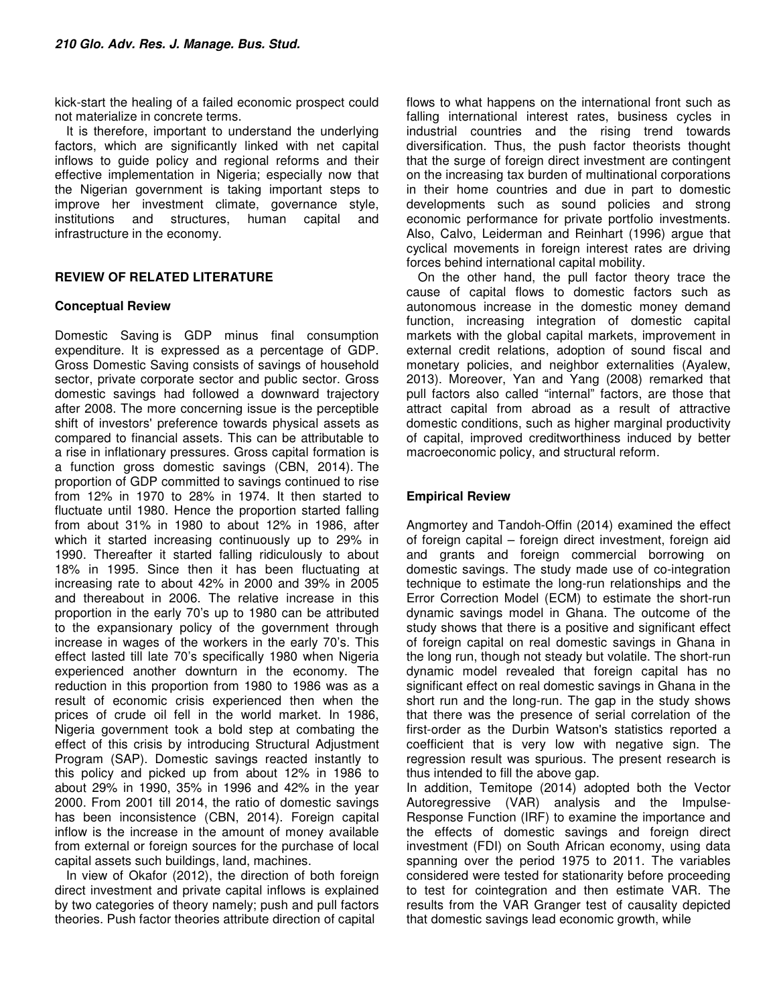kick-start the healing of a failed economic prospect could not materialize in concrete terms.

It is therefore, important to understand the underlying factors, which are significantly linked with net capital inflows to guide policy and regional reforms and their effective implementation in Nigeria; especially now that the Nigerian government is taking important steps to improve her investment climate, governance style, institutions and structures, human capital and infrastructure in the economy.

## **REVIEW OF RELATED LITERATURE**

## **Conceptual Review**

Domestic Saving is GDP minus final consumption expenditure. It is expressed as a percentage of GDP. Gross Domestic Saving consists of savings of household sector, private corporate sector and public sector. Gross domestic savings had followed a downward trajectory after 2008. The more concerning issue is the perceptible shift of investors' preference towards physical assets as compared to financial assets. This can be attributable to a rise in inflationary pressures. Gross capital formation is a function gross domestic savings (CBN, 2014). The proportion of GDP committed to savings continued to rise from 12% in 1970 to 28% in 1974. It then started to fluctuate until 1980. Hence the proportion started falling from about 31% in 1980 to about 12% in 1986, after which it started increasing continuously up to 29% in 1990. Thereafter it started falling ridiculously to about 18% in 1995. Since then it has been fluctuating at increasing rate to about 42% in 2000 and 39% in 2005 and thereabout in 2006. The relative increase in this proportion in the early 70's up to 1980 can be attributed to the expansionary policy of the government through increase in wages of the workers in the early 70's. This effect lasted till late 70's specifically 1980 when Nigeria experienced another downturn in the economy. The reduction in this proportion from 1980 to 1986 was as a result of economic crisis experienced then when the prices of crude oil fell in the world market. In 1986, Nigeria government took a bold step at combating the effect of this crisis by introducing Structural Adjustment Program (SAP). Domestic savings reacted instantly to this policy and picked up from about 12% in 1986 to about 29% in 1990, 35% in 1996 and 42% in the year 2000. From 2001 till 2014, the ratio of domestic savings has been inconsistence (CBN, 2014). Foreign capital inflow is the increase in the amount of money available from external or foreign sources for the purchase of local capital assets such buildings, land, machines.

In view of Okafor (2012), the direction of both foreign direct investment and private capital inflows is explained by two categories of theory namely; push and pull factors theories. Push factor theories attribute direction of capital

flows to what happens on the international front such as falling international interest rates, business cycles in industrial countries and the rising trend towards diversification. Thus, the push factor theorists thought that the surge of foreign direct investment are contingent on the increasing tax burden of multinational corporations in their home countries and due in part to domestic developments such as sound policies and strong economic performance for private portfolio investments. Also, Calvo, Leiderman and Reinhart (1996) argue that cyclical movements in foreign interest rates are driving forces behind international capital mobility.

On the other hand, the pull factor theory trace the cause of capital flows to domestic factors such as autonomous increase in the domestic money demand function, increasing integration of domestic capital markets with the global capital markets, improvement in external credit relations, adoption of sound fiscal and monetary policies, and neighbor externalities (Ayalew, 2013). Moreover, Yan and Yang (2008) remarked that pull factors also called "internal" factors, are those that attract capital from abroad as a result of attractive domestic conditions, such as higher marginal productivity of capital, improved creditworthiness induced by better macroeconomic policy, and structural reform.

## **Empirical Review**

Angmortey and Tandoh-Offin (2014) examined the effect of foreign capital – foreign direct investment, foreign aid and grants and foreign commercial borrowing on domestic savings. The study made use of co-integration technique to estimate the long-run relationships and the Error Correction Model (ECM) to estimate the short-run dynamic savings model in Ghana. The outcome of the study shows that there is a positive and significant effect of foreign capital on real domestic savings in Ghana in the long run, though not steady but volatile. The short-run dynamic model revealed that foreign capital has no significant effect on real domestic savings in Ghana in the short run and the long-run. The gap in the study shows that there was the presence of serial correlation of the first-order as the Durbin Watson's statistics reported a coefficient that is very low with negative sign. The regression result was spurious. The present research is thus intended to fill the above gap.

In addition, Temitope (2014) adopted both the Vector Autoregressive (VAR) analysis and the Impulse-Response Function (IRF) to examine the importance and the effects of domestic savings and foreign direct investment (FDI) on South African economy, using data spanning over the period 1975 to 2011. The variables considered were tested for stationarity before proceeding to test for cointegration and then estimate VAR. The results from the VAR Granger test of causality depicted that domestic savings lead economic growth, while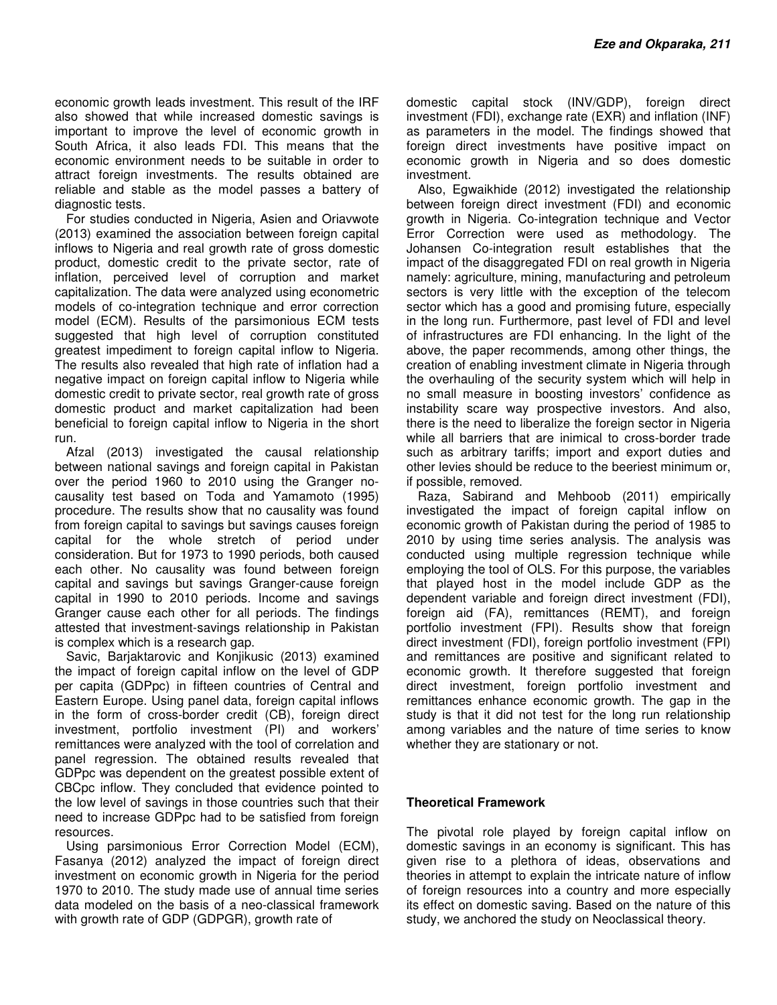economic growth leads investment. This result of the IRF also showed that while increased domestic savings is important to improve the level of economic growth in South Africa, it also leads FDI. This means that the economic environment needs to be suitable in order to attract foreign investments. The results obtained are reliable and stable as the model passes a battery of diagnostic tests.

For studies conducted in Nigeria, Asien and Oriavwote (2013) examined the association between foreign capital inflows to Nigeria and real growth rate of gross domestic product, domestic credit to the private sector, rate of inflation, perceived level of corruption and market capitalization. The data were analyzed using econometric models of co-integration technique and error correction model (ECM). Results of the parsimonious ECM tests suggested that high level of corruption constituted greatest impediment to foreign capital inflow to Nigeria. The results also revealed that high rate of inflation had a negative impact on foreign capital inflow to Nigeria while domestic credit to private sector, real growth rate of gross domestic product and market capitalization had been beneficial to foreign capital inflow to Nigeria in the short run.

Afzal (2013) investigated the causal relationship between national savings and foreign capital in Pakistan over the period 1960 to 2010 using the Granger nocausality test based on Toda and Yamamoto (1995) procedure. The results show that no causality was found from foreign capital to savings but savings causes foreign capital for the whole stretch of period under consideration. But for 1973 to 1990 periods, both caused each other. No causality was found between foreign capital and savings but savings Granger-cause foreign capital in 1990 to 2010 periods. Income and savings Granger cause each other for all periods. The findings attested that investment-savings relationship in Pakistan is complex which is a research gap.

Savic, Barjaktarovic and Konjikusic (2013) examined the impact of foreign capital inflow on the level of GDP per capita (GDPpc) in fifteen countries of Central and Eastern Europe. Using panel data, foreign capital inflows in the form of cross-border credit (CB), foreign direct investment, portfolio investment (PI) and workers' remittances were analyzed with the tool of correlation and panel regression. The obtained results revealed that GDPpc was dependent on the greatest possible extent of CBCpc inflow. They concluded that evidence pointed to the low level of savings in those countries such that their need to increase GDPpc had to be satisfied from foreign resources.

Using parsimonious Error Correction Model (ECM), Fasanya (2012) analyzed the impact of foreign direct investment on economic growth in Nigeria for the period 1970 to 2010. The study made use of annual time series data modeled on the basis of a neo-classical framework with growth rate of GDP (GDPGR), growth rate of

domestic capital stock (INV/GDP), foreign direct investment (FDI), exchange rate (EXR) and inflation (INF) as parameters in the model. The findings showed that foreign direct investments have positive impact on economic growth in Nigeria and so does domestic investment.

Also, Egwaikhide (2012) investigated the relationship between foreign direct investment (FDI) and economic growth in Nigeria. Co-integration technique and Vector Error Correction were used as methodology. The Johansen Co-integration result establishes that the impact of the disaggregated FDI on real growth in Nigeria namely: agriculture, mining, manufacturing and petroleum sectors is very little with the exception of the telecom sector which has a good and promising future, especially in the long run. Furthermore, past level of FDI and level of infrastructures are FDI enhancing. In the light of the above, the paper recommends, among other things, the creation of enabling investment climate in Nigeria through the overhauling of the security system which will help in no small measure in boosting investors' confidence as instability scare way prospective investors. And also, there is the need to liberalize the foreign sector in Nigeria while all barriers that are inimical to cross-border trade such as arbitrary tariffs; import and export duties and other levies should be reduce to the beeriest minimum or, if possible, removed.

Raza, Sabirand and Mehboob (2011) empirically investigated the impact of foreign capital inflow on economic growth of Pakistan during the period of 1985 to 2010 by using time series analysis. The analysis was conducted using multiple regression technique while employing the tool of OLS. For this purpose, the variables that played host in the model include GDP as the dependent variable and foreign direct investment (FDI), foreign aid (FA), remittances (REMT), and foreign portfolio investment (FPI). Results show that foreign direct investment (FDI), foreign portfolio investment (FPI) and remittances are positive and significant related to economic growth. It therefore suggested that foreign direct investment, foreign portfolio investment and remittances enhance economic growth. The gap in the study is that it did not test for the long run relationship among variables and the nature of time series to know whether they are stationary or not.

## **Theoretical Framework**

The pivotal role played by foreign capital inflow on domestic savings in an economy is significant. This has given rise to a plethora of ideas, observations and theories in attempt to explain the intricate nature of inflow of foreign resources into a country and more especially its effect on domestic saving. Based on the nature of this study, we anchored the study on Neoclassical theory.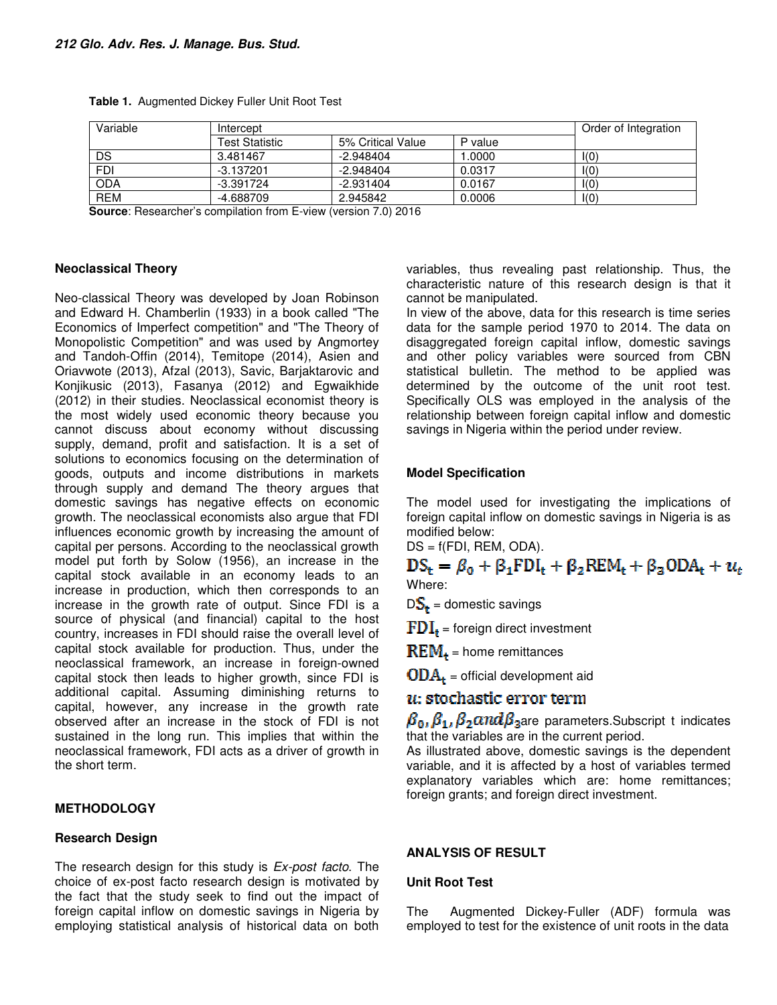| Variable   | Intercept      | Order of Integration |         |      |
|------------|----------------|----------------------|---------|------|
|            | Test Statistic | 5% Critical Value    | P value |      |
| DS         | 3.481467       | $-2.948404$          | .0000   | I(0) |
| <b>FDI</b> | $-3.137201$    | $-2.948404$          | 0.0317  | I(0) |
| <b>ODA</b> | -3.391724      | $-2.931404$          | 0.0167  | I(0) |
| <b>REM</b> | -4.688709      | 2.945842             | 0.0006  | I(0) |

**Table 1.** Augmented Dickey Fuller Unit Root Test

**Source**: Researcher's compilation from E-view (version 7.0) 2016

#### **Neoclassical Theory**

Neo-classical Theory was developed by Joan Robinson and Edward H. Chamberlin (1933) in a book called "The Economics of Imperfect competition" and "The Theory of Monopolistic Competition" and was used by Angmortey and Tandoh-Offin (2014), Temitope (2014), Asien and Oriavwote (2013), Afzal (2013), Savic, Barjaktarovic and Konjikusic (2013), Fasanya (2012) and Egwaikhide (2012) in their studies. Neoclassical economist theory is the most widely used economic theory because you cannot discuss about economy without discussing supply, demand, profit and satisfaction. It is a set of solutions to economics focusing on the determination of goods, outputs and income distributions in markets through supply and demand The theory argues that domestic savings has negative effects on economic growth. The neoclassical economists also argue that FDI influences economic growth by increasing the amount of capital per persons. According to the neoclassical growth model put forth by Solow (1956), an increase in the capital stock available in an economy leads to an increase in production, which then corresponds to an increase in the growth rate of output. Since FDI is a source of physical (and financial) capital to the host country, increases in FDI should raise the overall level of capital stock available for production. Thus, under the neoclassical framework, an increase in foreign-owned capital stock then leads to higher growth, since FDI is additional capital. Assuming diminishing returns to capital, however, any increase in the growth rate observed after an increase in the stock of FDI is not sustained in the long run. This implies that within the neoclassical framework, FDI acts as a driver of growth in the short term.

## **METHODOLOGY**

## **Research Design**

The research design for this study is *Ex-post facto*. The choice of ex-post facto research design is motivated by the fact that the study seek to find out the impact of foreign capital inflow on domestic savings in Nigeria by employing statistical analysis of historical data on both variables, thus revealing past relationship. Thus, the characteristic nature of this research design is that it cannot be manipulated.

In view of the above, data for this research is time series data for the sample period 1970 to 2014. The data on disaggregated foreign capital inflow, domestic savings and other policy variables were sourced from CBN statistical bulletin. The method to be applied was determined by the outcome of the unit root test. Specifically OLS was employed in the analysis of the relationship between foreign capital inflow and domestic savings in Nigeria within the period under review.

## **Model Specification**

The model used for investigating the implications of foreign capital inflow on domestic savings in Nigeria is as modified below:

 $DS = f(FDI, REM, ODA).$ 

## $DS_{t} = \beta_0 + \beta_1 FDI_t + \beta_2 REM_t + \beta_3 ODA_t + u_t$ Where:

 $DS_{+}$  = domestic savings

 $FDI<sub>t</sub>$  = foreign direct investment

 $REM<sub>+</sub>$  = home remittances

 **= official development aid** 

## $u$ : stochastic error term

 $\beta_0$ ,  $\beta_1$ ,  $\beta_2$  and  $\beta_3$  are parameters. Subscript t indicates that the variables are in the current period.

As illustrated above, domestic savings is the dependent variable, and it is affected by a host of variables termed explanatory variables which are: home remittances; foreign grants; and foreign direct investment.

## **ANALYSIS OF RESULT**

## **Unit Root Test**

The Augmented Dickey-Fuller (ADF) formula was employed to test for the existence of unit roots in the data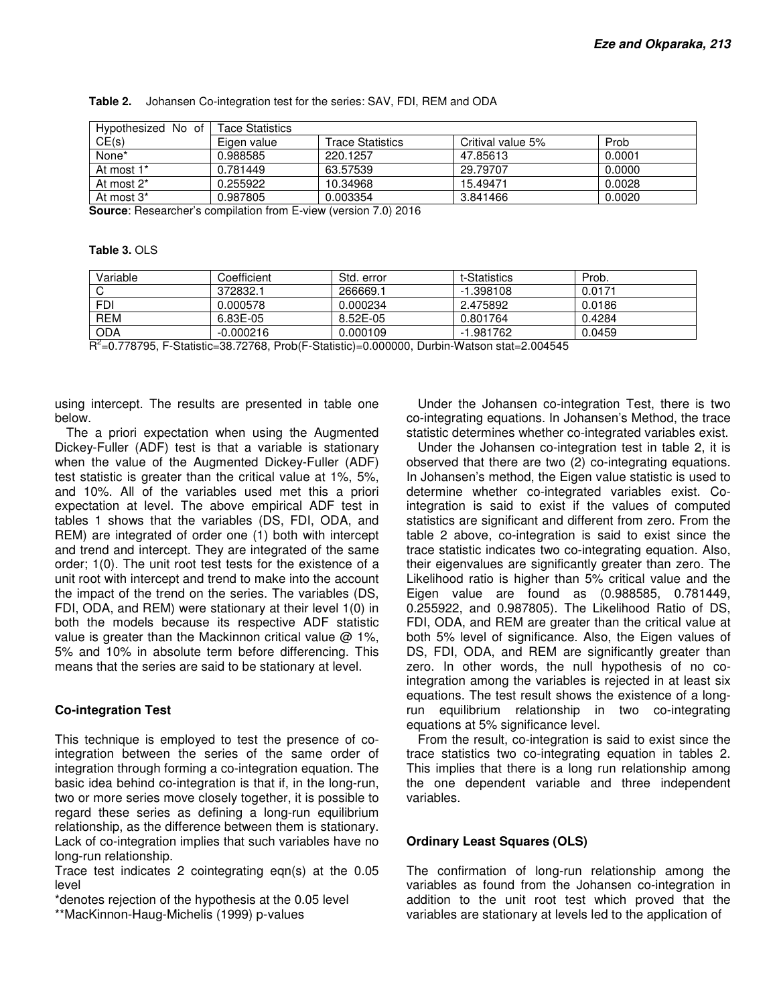| Tace Statistics |                  |                   |        |  |  |
|-----------------|------------------|-------------------|--------|--|--|
| Eigen value     | Trace Statistics | Critival value 5% | Prob   |  |  |
| 0.988585        | 220.1257         | 47.85613          | 0.0001 |  |  |
| 0.781449        | 63.57539         | 29.79707          | 0.0000 |  |  |
| 0.255922        | 10.34968         | 15.49471          | 0.0028 |  |  |
| 0.987805        | 0.003354         | 3.841466          | 0.0020 |  |  |
|                 |                  | $\blacksquare$    |        |  |  |

**Table 2.** Johansen Co-integration test for the series: SAV, FDI, REM and ODA

**Source**: Researcher's compilation from E-view (version 7.0) 2016

#### **Table 3.** OLS

| Variable   | Coefficient | Std. error | t-Statistics | Prob.  |
|------------|-------------|------------|--------------|--------|
|            | 372832.1    | 266669.1   | $-1.398108$  | 0.0171 |
| <b>FDI</b> | 0.000578    | 0.000234   | 2.475892     | 0.0186 |
| <b>REM</b> | 6.83E-05    | 8.52E-05   | 0.801764     | 0.4284 |
| <b>ODA</b> | $-0.000216$ | 0.000109   | -1.981762    | 0.0459 |

R 2 =0.778795, F-Statistic=38.72768, Prob(F-Statistic)=0.000000, Durbin-Watson stat=2.004545

using intercept. The results are presented in table one below.

The a priori expectation when using the Augmented Dickey-Fuller (ADF) test is that a variable is stationary when the value of the Augmented Dickey-Fuller (ADF) test statistic is greater than the critical value at 1%, 5%, and 10%. All of the variables used met this a priori expectation at level. The above empirical ADF test in tables 1 shows that the variables (DS, FDI, ODA, and REM) are integrated of order one (1) both with intercept and trend and intercept. They are integrated of the same order; 1(0). The unit root test tests for the existence of a unit root with intercept and trend to make into the account the impact of the trend on the series. The variables (DS, FDI, ODA, and REM) were stationary at their level 1(0) in both the models because its respective ADF statistic value is greater than the Mackinnon critical value  $\omega$  1%, 5% and 10% in absolute term before differencing. This means that the series are said to be stationary at level.

## **Co-integration Test**

This technique is employed to test the presence of cointegration between the series of the same order of integration through forming a co-integration equation. The basic idea behind co-integration is that if, in the long-run, two or more series move closely together, it is possible to regard these series as defining a long-run equilibrium relationship, as the difference between them is stationary. Lack of co-integration implies that such variables have no long-run relationship.

Trace test indicates 2 cointegrating eqn(s) at the 0.05 level

\*denotes rejection of the hypothesis at the 0.05 level \*\*MacKinnon-Haug-Michelis (1999) p-values

Under the Johansen co-integration Test, there is two co-integrating equations. In Johansen's Method, the trace statistic determines whether co-integrated variables exist.

Under the Johansen co-integration test in table 2, it is observed that there are two (2) co-integrating equations. In Johansen's method, the Eigen value statistic is used to determine whether co-integrated variables exist. Cointegration is said to exist if the values of computed statistics are significant and different from zero. From the table 2 above, co-integration is said to exist since the trace statistic indicates two co-integrating equation. Also, their eigenvalues are significantly greater than zero. The Likelihood ratio is higher than 5% critical value and the Eigen value are found as (0.988585, 0.781449, 0.255922, and 0.987805). The Likelihood Ratio of DS, FDI, ODA, and REM are greater than the critical value at both 5% level of significance. Also, the Eigen values of DS, FDI, ODA, and REM are significantly greater than zero. In other words, the null hypothesis of no cointegration among the variables is rejected in at least six equations. The test result shows the existence of a longrun equilibrium relationship in two co-integrating equations at 5% significance level.

From the result, co-integration is said to exist since the trace statistics two co-integrating equation in tables 2. This implies that there is a long run relationship among the one dependent variable and three independent variables.

#### **Ordinary Least Squares (OLS)**

The confirmation of long-run relationship among the variables as found from the Johansen co-integration in addition to the unit root test which proved that the variables are stationary at levels led to the application of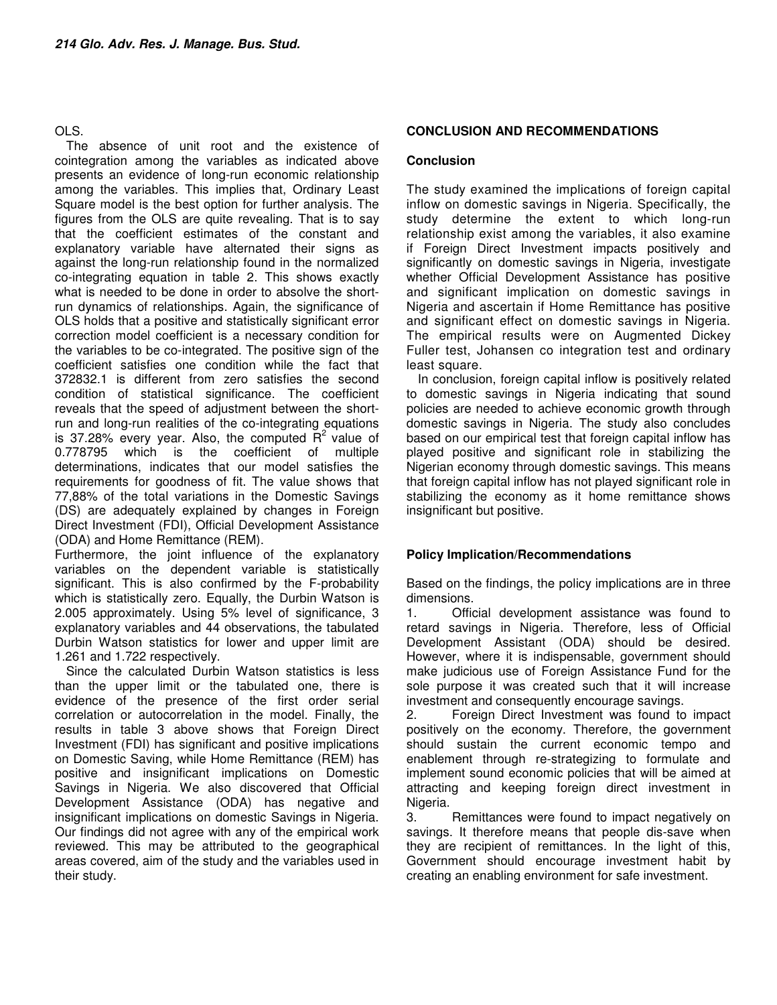## OLS.

The absence of unit root and the existence of cointegration among the variables as indicated above presents an evidence of long-run economic relationship among the variables. This implies that, Ordinary Least Square model is the best option for further analysis. The figures from the OLS are quite revealing. That is to say that the coefficient estimates of the constant and explanatory variable have alternated their signs as against the long-run relationship found in the normalized co-integrating equation in table 2. This shows exactly what is needed to be done in order to absolve the shortrun dynamics of relationships. Again, the significance of OLS holds that a positive and statistically significant error correction model coefficient is a necessary condition for the variables to be co-integrated. The positive sign of the coefficient satisfies one condition while the fact that 372832.1 is different from zero satisfies the second condition of statistical significance. The coefficient reveals that the speed of adjustment between the shortrun and long-run realities of the co-integrating equations is 37.28% every year. Also, the computed  $R^2$  value of 0.778795 which is the coefficient of multiple determinations, indicates that our model satisfies the requirements for goodness of fit. The value shows that 77,88% of the total variations in the Domestic Savings (DS) are adequately explained by changes in Foreign Direct Investment (FDI), Official Development Assistance (ODA) and Home Remittance (REM).

Furthermore, the joint influence of the explanatory variables on the dependent variable is statistically significant. This is also confirmed by the F-probability which is statistically zero. Equally, the Durbin Watson is 2.005 approximately. Using 5% level of significance, 3 explanatory variables and 44 observations, the tabulated Durbin Watson statistics for lower and upper limit are 1.261 and 1.722 respectively.

Since the calculated Durbin Watson statistics is less than the upper limit or the tabulated one, there is evidence of the presence of the first order serial correlation or autocorrelation in the model. Finally, the results in table 3 above shows that Foreign Direct Investment (FDI) has significant and positive implications on Domestic Saving, while Home Remittance (REM) has positive and insignificant implications on Domestic Savings in Nigeria. We also discovered that Official Development Assistance (ODA) has negative and insignificant implications on domestic Savings in Nigeria. Our findings did not agree with any of the empirical work reviewed. This may be attributed to the geographical areas covered, aim of the study and the variables used in their study.

## **CONCLUSION AND RECOMMENDATIONS**

## **Conclusion**

The study examined the implications of foreign capital inflow on domestic savings in Nigeria. Specifically, the study determine the extent to which long-run relationship exist among the variables, it also examine if Foreign Direct Investment impacts positively and significantly on domestic savings in Nigeria, investigate whether Official Development Assistance has positive and significant implication on domestic savings in Nigeria and ascertain if Home Remittance has positive and significant effect on domestic savings in Nigeria. The empirical results were on Augmented Dickey Fuller test, Johansen co integration test and ordinary least square.

In conclusion, foreign capital inflow is positively related to domestic savings in Nigeria indicating that sound policies are needed to achieve economic growth through domestic savings in Nigeria. The study also concludes based on our empirical test that foreign capital inflow has played positive and significant role in stabilizing the Nigerian economy through domestic savings. This means that foreign capital inflow has not played significant role in stabilizing the economy as it home remittance shows insignificant but positive.

## **Policy Implication/Recommendations**

Based on the findings, the policy implications are in three dimensions.

1. Official development assistance was found to retard savings in Nigeria. Therefore, less of Official Development Assistant (ODA) should be desired. However, where it is indispensable, government should make judicious use of Foreign Assistance Fund for the sole purpose it was created such that it will increase investment and consequently encourage savings.

2. Foreign Direct Investment was found to impact positively on the economy. Therefore, the government should sustain the current economic tempo and enablement through re-strategizing to formulate and implement sound economic policies that will be aimed at attracting and keeping foreign direct investment in Nigeria.

3. Remittances were found to impact negatively on savings. It therefore means that people dis-save when they are recipient of remittances. In the light of this, Government should encourage investment habit by creating an enabling environment for safe investment.